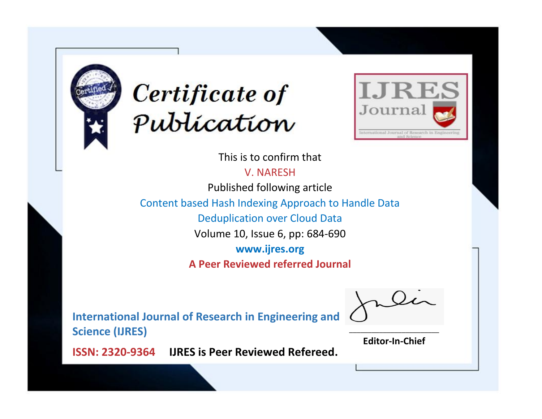



This is to confirm that

V. NARESH

Published following article

Content based Hash Indexing Approach to Handle Data

Deduplication over Cloud Data

Volume 10, Issue 6, pp: 684-690

**www.ijres.org**

**A Peer Reviewed referred Journal**

**International Journal of Research in Engineering and Science (IJRES)**

\_\_\_\_\_\_\_\_\_\_\_\_\_\_\_\_\_\_\_\_\_\_\_\_ **Editor-In-Chief**

**Journal.**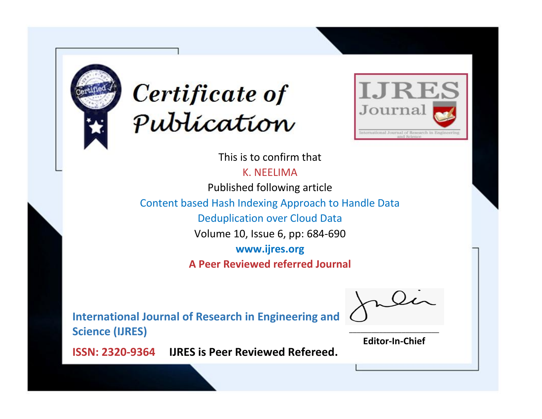



This is to confirm that

K. NEELIMA

Published following article

Content based Hash Indexing Approach to Handle Data

Deduplication over Cloud Data

Volume 10, Issue 6, pp: 684-690

**www.ijres.org**

**A Peer Reviewed referred Journal**

**International Journal of Research in Engineering and Science (IJRES)**

\_\_\_\_\_\_\_\_\_\_\_\_\_\_\_\_\_\_\_\_\_\_\_\_ **Editor-In-Chief**

**Journal.**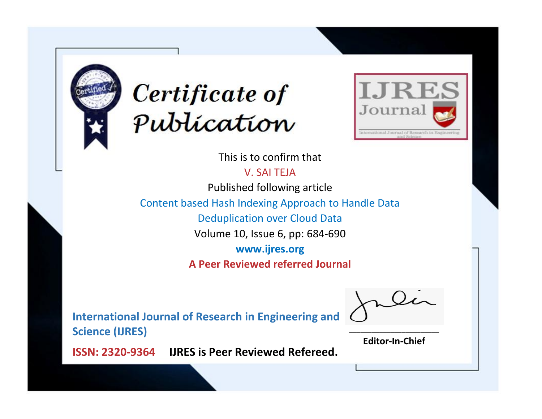



This is to confirm that

V. SAI TEJA

Published following article

Content based Hash Indexing Approach to Handle Data

Deduplication over Cloud Data

Volume 10, Issue 6, pp: 684-690

**www.ijres.org**

**A Peer Reviewed referred Journal**

**International Journal of Research in Engineering and Science (IJRES)**

\_\_\_\_\_\_\_\_\_\_\_\_\_\_\_\_\_\_\_\_\_\_\_\_ **Editor-In-Chief**

**Journal.**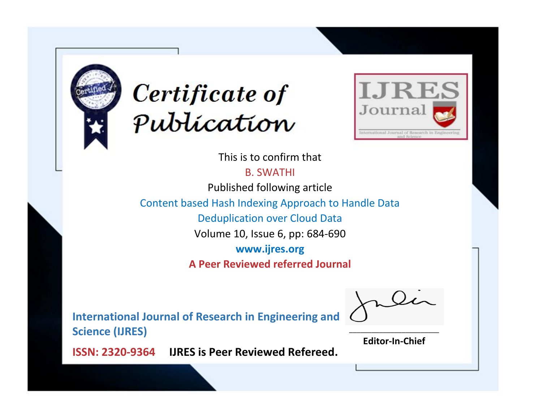



This is to confirm that

B. SWATHI

Published following article

Content based Hash Indexing Approach to Handle Data

Deduplication over Cloud Data

Volume 10, Issue 6, pp: 684-690

**www.ijres.org**

**A Peer Reviewed referred Journal**

**International Journal of Research in Engineering and Science (IJRES)**

\_\_\_\_\_\_\_\_\_\_\_\_\_\_\_\_\_\_\_\_\_\_\_\_ **Editor-In-Chief**

**Journal.**